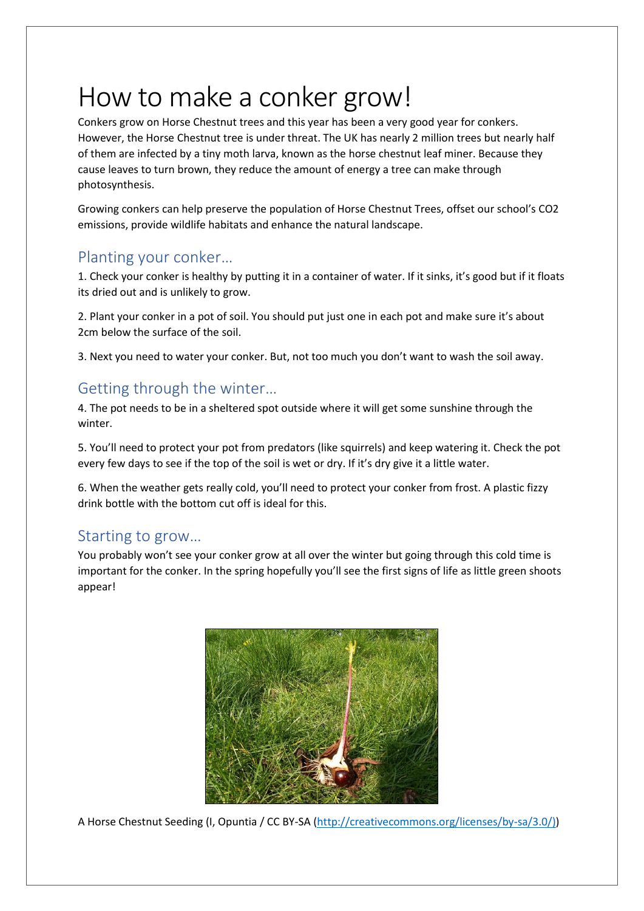## How to make a conker grow!

Conkers grow on Horse Chestnut trees and this year has been a very good year for conkers. However, the Horse Chestnut tree is under threat. The UK has nearly 2 million trees but nearly half of them are infected by a tiny moth larva, known as the horse chestnut leaf miner. Because they cause leaves to turn brown, they reduce the amount of energy a tree can make through photosynthesis.

Growing conkers can help preserve the population of Horse Chestnut Trees, offset our school's CO2 emissions, provide wildlife habitats and enhance the natural landscape.

## Planting your conker…

1. Check your conker is healthy by putting it in a container of water. If it sinks, it's good but if it floats its dried out and is unlikely to grow.

2. Plant your conker in a pot of soil. You should put just one in each pot and make sure it's about 2cm below the surface of the soil.

3. Next you need to water your conker. But, not too much you don't want to wash the soil away.

## Getting through the winter…

4. The pot needs to be in a sheltered spot outside where it will get some sunshine through the winter.

5. You'll need to protect your pot from predators (like squirrels) and keep watering it. Check the pot every few days to see if the top of the soil is wet or dry. If it's dry give it a little water.

6. When the weather gets really cold, you'll need to protect your conker from frost. A plastic fizzy drink bottle with the bottom cut off is ideal for this.

## Starting to grow…

You probably won't see your conker grow at all over the winter but going through this cold time is important for the conker. In the spring hopefully you'll see the first signs of life as little green shoots appear!



A Horse Chestnut Seeding (I, Opuntia / CC BY-SA [\(http://creativecommons.org/licenses/by-sa/3.0/\)\)](http://creativecommons.org/licenses/by-sa/3.0/))